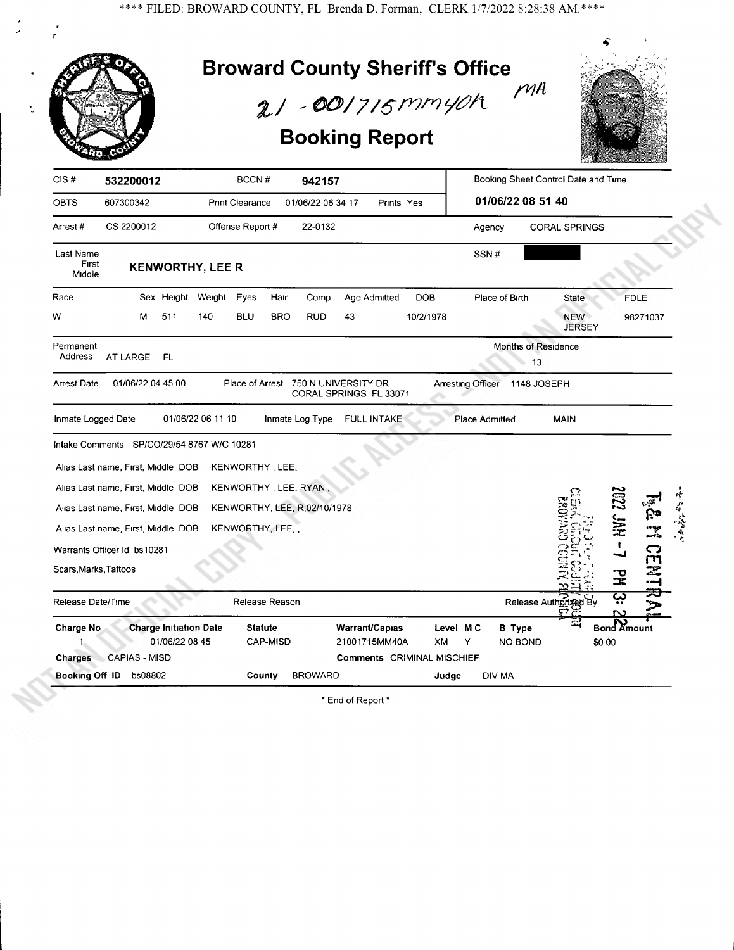$\frac{1}{\vec{r}}$ 

| <b>Broward County Sheriff's Office</b><br>$21 - 001715$ mmyoh<br><b>Booking Report</b>                                                                                                                       | $M$ A                                                                           |
|--------------------------------------------------------------------------------------------------------------------------------------------------------------------------------------------------------------|---------------------------------------------------------------------------------|
| CIS#<br>BCCN#<br>532200012<br>942157                                                                                                                                                                         | Booking Sheet Control Date and Time                                             |
| OBTS<br>607300342<br><b>Print Clearance</b><br>01/06/22 06 34 17<br>Prints Yes                                                                                                                               | 01/06/22 08 51 40                                                               |
| CS 2200012<br>Offense Report #<br>22-0132<br>Arrest#                                                                                                                                                         | Agency<br><b>CORAL SPRINGS</b>                                                  |
| Last Name<br>First<br><b>KENWORTHY, LEE R</b><br>Middle                                                                                                                                                      | SSN#                                                                            |
| Sex Height Weight<br>Race<br>Eyes<br>Hair<br>Age Admitted<br><b>DOB</b><br>Comp                                                                                                                              | Place of Birth<br><b>FDLE</b><br>State                                          |
| W<br>511<br>140<br><b>BLU</b><br><b>BRO</b><br>RUD<br>10/2/1978<br>м<br>43                                                                                                                                   | <b>NEW</b><br>98271037<br><b>JERSEY</b>                                         |
| Permanent<br>Address<br>FL<br>AT LARGE<br>01/06/22 04 45 00<br>Place of Arrest 750 N UNIVERSITY DR<br><b>Arrest Date</b><br>CORAL SPRINGS FL 33071                                                           | Months of Residence<br>13<br>Arresting Officer<br>1148 JOSEPH                   |
| Inmate Logged Date<br>01/06/22 06 11 10<br>Inmate Log Type<br>FULL INTAKE                                                                                                                                    | Place Admitted<br><b>MAIN</b>                                                   |
| Intake Comments SP/CO/29/54 8767 W/C 10281<br>KENWORTHY, LEE,,<br>Alias Last name, First, Middle, DOB                                                                                                        |                                                                                 |
| Alias Last name, First, Middle, DOB<br>KENWORTHY, LEE, RYAN,                                                                                                                                                 |                                                                                 |
| KENWORTHY, LEE, R,02/10/1978<br>Alias Last name, First, Middle, DOB                                                                                                                                          | <b>HAL SSOS</b><br>医合成音                                                         |
| KENWORTHY, LEE,<br>Alias Last name, First, Middle, DOB                                                                                                                                                       |                                                                                 |
| Warrants Officer Id bs10281                                                                                                                                                                                  | ా                                                                               |
| Scars, Marks, Tattoos                                                                                                                                                                                        | 突                                                                               |
| Release Date/Time<br>Release Reason                                                                                                                                                                          | ؽٜ<br>Release Authorized<br>N                                                   |
| <b>Charge Initiation Date</b><br><b>Statute</b><br>Warrant/Capias<br><b>Charge No</b><br>01/06/22 08 45<br>CAP-MISD<br>21001715MM40A<br>CAPIAS - MISD<br><b>Comments CRIMINAL MISCHIEF</b><br><b>Charges</b> | <b>Bond Amount</b><br>Level MC<br><b>B</b> Type<br>\$0 00<br>XM<br>Y<br>NO BOND |
| Booking Off ID<br>bs08802<br>County<br><b>BROWARD</b>                                                                                                                                                        | Judge<br>DIV MA                                                                 |

\* End of Report \*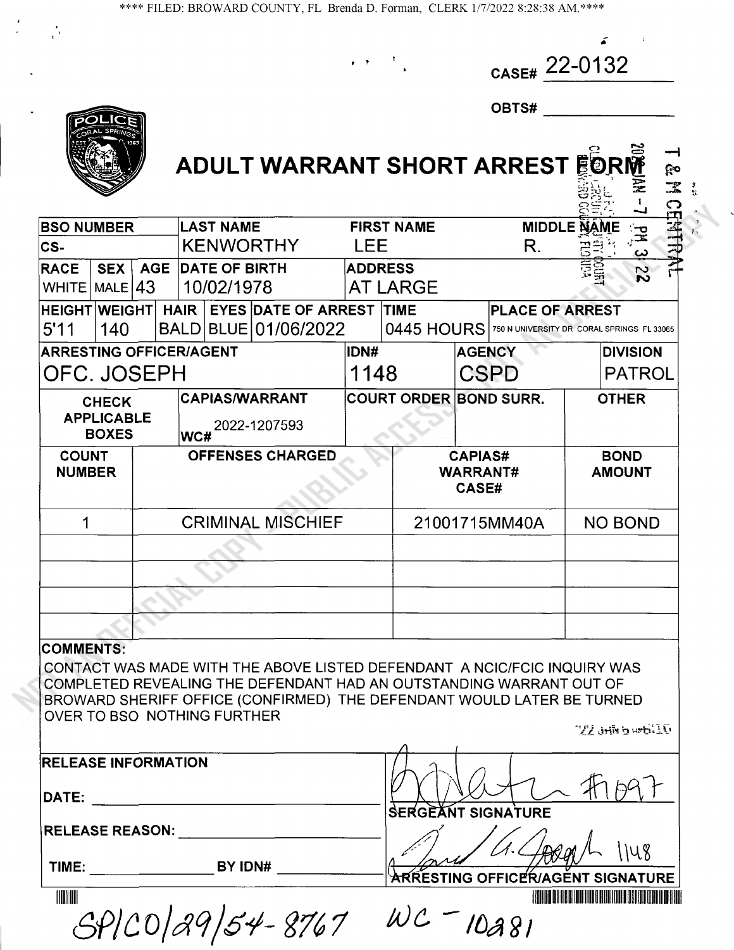| $_{\text{CASE#}}$ 22-0132 |  |
|---------------------------|--|
|                           |  |

割し N I X:

| ◡ | ВТ<br>١L |  | <br>on |  |
|---|----------|--|--------|--|
|   |          |  |        |  |



## ADULT WARRANT SHORT ARREST FORM  $\frac{1}{2}$

| <b>LAST NAME</b><br><b>MIDDLE NAME</b><br><b>BSO NUMBER</b><br><b>FIRST NAME</b><br><b>KENWORTHY</b><br><b>LEE</b><br>R.<br>CS-<br><b>RACE</b><br><b>AGE</b><br><b>DATE OF BIRTH</b><br><b>ADDRESS</b><br><b>SEX</b><br>10/02/1978<br>MALE $ 43 $<br><b>AT LARGE</b><br><b>WHITE</b><br><b>EYES DATE OF ARREST</b><br><b>HAIR</b><br><b>HEIGHT WEIGHT</b><br><b>TIME</b><br><b>PLACE OF ARREST</b><br>BLUE 01/06/2022<br>0445 HOURS<br>5'11<br>140<br><b>BALD</b><br>750 N UNIVERSITY DR CORAL SPRINGS FL 33065<br><b>ARRESTING OFFICER/AGENT</b><br>IDN#<br><b>AGENCY</b><br><b>DIVISION</b> | CERTRAL<br>궆<br><u>ب</u><br>22 |  |
|-----------------------------------------------------------------------------------------------------------------------------------------------------------------------------------------------------------------------------------------------------------------------------------------------------------------------------------------------------------------------------------------------------------------------------------------------------------------------------------------------------------------------------------------------------------------------------------------------|--------------------------------|--|
|                                                                                                                                                                                                                                                                                                                                                                                                                                                                                                                                                                                               |                                |  |
|                                                                                                                                                                                                                                                                                                                                                                                                                                                                                                                                                                                               |                                |  |
|                                                                                                                                                                                                                                                                                                                                                                                                                                                                                                                                                                                               |                                |  |
|                                                                                                                                                                                                                                                                                                                                                                                                                                                                                                                                                                                               |                                |  |
|                                                                                                                                                                                                                                                                                                                                                                                                                                                                                                                                                                                               |                                |  |
| OFC. JOSEPH<br><b>CSPD</b><br>1148                                                                                                                                                                                                                                                                                                                                                                                                                                                                                                                                                            | <b>PATROL</b>                  |  |
| <b>CAPIAS/WARRANT</b><br><b>COURT ORDER BOND SURR.</b><br><b>CHECK</b><br><b>APPLICABLE</b><br>2022-1207593<br><b>BOXES</b><br>WC#                                                                                                                                                                                                                                                                                                                                                                                                                                                            | <b>OTHER</b>                   |  |
| <b>COUNT</b><br><b>OFFENSES CHARGED</b><br><b>CAPIAS#</b><br><b>BOND</b><br><b>NUMBER</b><br><b>WARRANT#</b><br><b>AMOUNT</b><br><b>CASE#</b>                                                                                                                                                                                                                                                                                                                                                                                                                                                 |                                |  |
| <b>CRIMINAL MISCHIEF</b><br><b>NO BOND</b><br>21001715MM40A<br>1                                                                                                                                                                                                                                                                                                                                                                                                                                                                                                                              |                                |  |
|                                                                                                                                                                                                                                                                                                                                                                                                                                                                                                                                                                                               |                                |  |
|                                                                                                                                                                                                                                                                                                                                                                                                                                                                                                                                                                                               |                                |  |
|                                                                                                                                                                                                                                                                                                                                                                                                                                                                                                                                                                                               |                                |  |
|                                                                                                                                                                                                                                                                                                                                                                                                                                                                                                                                                                                               |                                |  |

### COMMENTS:

CONTACTWAS MADE WITH THE ABOVE LISTED DEFENDANT A NCIC/FCIC INQUIRY WAS COMPLETED REVEALING THE DEFENDANT HAD AN OUTSTANDING WARRANT OUT OF BROWARD SHERIFF OFFICE (CONFIRMED) THE DEFENDANT WOULD LATER BE TURNED OVER TO BSO NOTHING FURTHER  $22$  Julk b wh $510$ 

| <b>RELEASE INFORMATION</b> |  |  |
|----------------------------|--|--|
|----------------------------|--|--|

RELEASE REASON:

TIME: BY IDN#

| SPICO/29/54-8767 | $WC = 10a81$ |
|------------------|--------------|

DATE:  $\frac{|\psi \rangle \sqrt{|\psi \rangle + |\psi \rangle}}{|\psi \rangle}$ SERGEANT SIGNATURE

A BALLET HOLD IN 1148

<sup>11111</sup>'lll Bll <sup>l</sup>'Illl 1111111'IlH ll'Iil'Illl'l imIill l'll'l11'Il? lili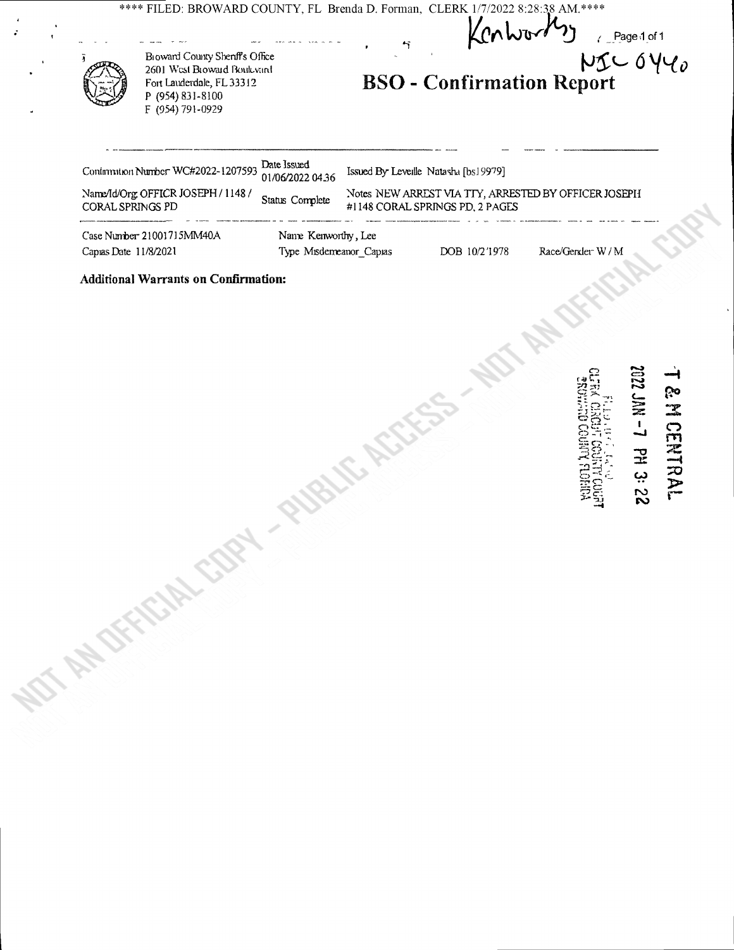\*\*\*\* FILED: BROWARD COUNTY, FL Brenda D. Forman, CLERK 1/7/2022 8:28:38 AM. \*\*\*\*

 $\overline{\mathbf{r}}$ 

 $\angle$  Page 1 of 1

**Broward County Sheriff's Office** 2601 West Broward Boulevard Fort Lauderdale, FL 33312 P (954) 831-8100 F (954) 791-0929

 $N5C6Y40$ **BSO** - Confirmation Report

4.

|                           | Continuation Number WC#2022-1207593 Date Issued<br>01/06/2022 04:36 |                         | Issued By Leveille Natasha [bs19979] |                                 |                                                      |  |
|---------------------------|---------------------------------------------------------------------|-------------------------|--------------------------------------|---------------------------------|------------------------------------------------------|--|
| CORAL SPRINGS PD          | Name/Id/Org OFFICR JOSEPH / 1148 /                                  | Status Complete         |                                      | #1148 CORAL SPRINGS PD. 2 PAGES | Notes NEW ARREST VIA TTY, ARRESTED BY OFFICER JOSEPH |  |
| Case Number 21001715MM40A |                                                                     | Name Kenworthy, Lee     |                                      |                                 |                                                      |  |
| Capus Date $11/8/2021$    |                                                                     | Type Misdemeanor_Capias |                                      | DOB 10/2'1978                   | Race/Gender W/M                                      |  |

**Additional Warrants on Confirmation:** 

NDT AN OFFICIAL COPY - PUBLIC ASSESS - NDT -

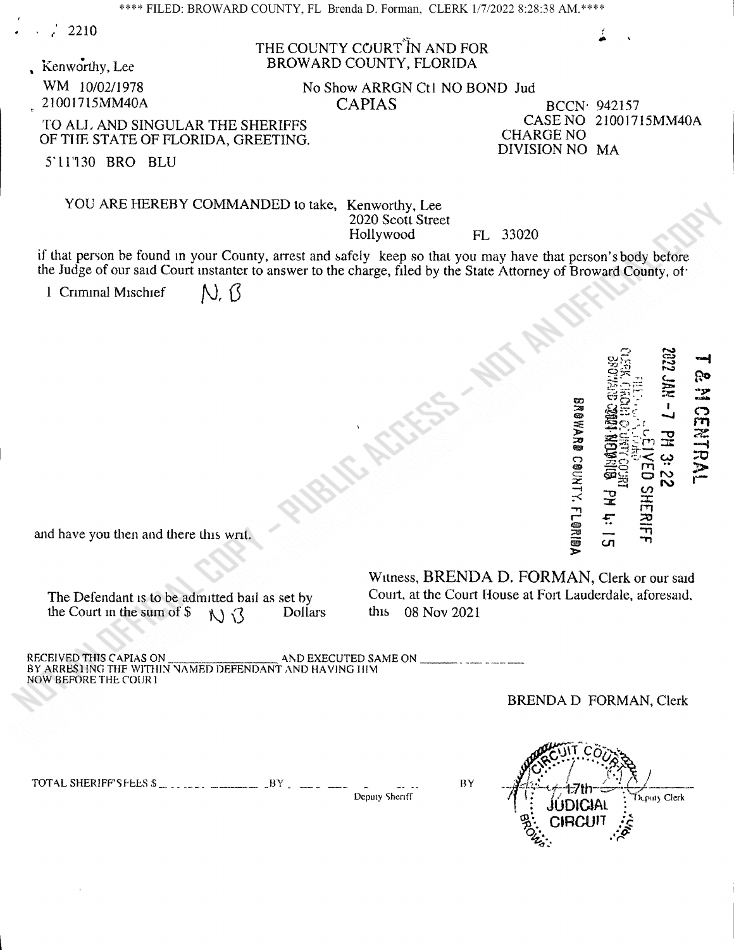<sup>r</sup>' 2210

## THE COUNTY COURT IN AND FOR Kenworthy, Lee BROWARD COUNTY, FLORIDA

WM 10/02/1978 No Show ARRGN Ctl NO BOND Jud<br>
21001715MM40A CAPIAS

BCCN<sup>.</sup> 942157<br>CASE NO 21001715MM40A DIVISION NO MA

TO ALL AND SINGULAR THE SHERIFFS CASE NO 21 CHARGE NO 21001716 CASE NO 21001716 CASE NO OF THE STATE OF FLORIDA, GREETING.

<sup>5</sup> 11'130 BRO BLU

## YOU ARE HEREBY COMMANDED to take, Kenworthy, Lee 2020 Scott Street<br>Hollywood FL 33020

if that person be found in your County, arrest and safely keep so that you may have that person's body before the Judge of our said Court instanter to answer to the charge, filed by the State Attorney of Broward County, of

**UBLIC ASS** 

N. B <sup>1</sup> Criminal Mischief



The Defendant is to be admitted bail as set by Court, at the Court the Court in the sum of  $\frac{1}{2}$   $\frac{1}{3}$  Dollars this 08 Nov 2021 the Court in the sum of  $S$ 

Witness, BRENDA D. FORMAN, Clerk or our said Court, at the Court House at Fort Lauderdale, aforesaid,

RECEIVED THIS CAPIAS ON AND EXECUTED SAME ON BY ARRESTING THE WITHIN NAMED DEFENDANT AND HAVING HIM NOW BEFORE THE COUR1

BRENDA D FORMAN, Clerk

TOTAL SHERIFF'Sf'b,ES\$- .- - -- -------- -BY -

Deputy Sheriff

 $D_{Q}^{2}C_{1}^{11}...C_{Q}^{12}C_{Q}^{11}$  $H^{\text{av}}$  and  $H^{\text{av}}$  is  $\frac{1}{4}$ . The  $\frac{1}{4}$ <sup>i</sup> JUDICIAL k.piny Clerk CIRCUIT  $Q_i$ .  $Q_i$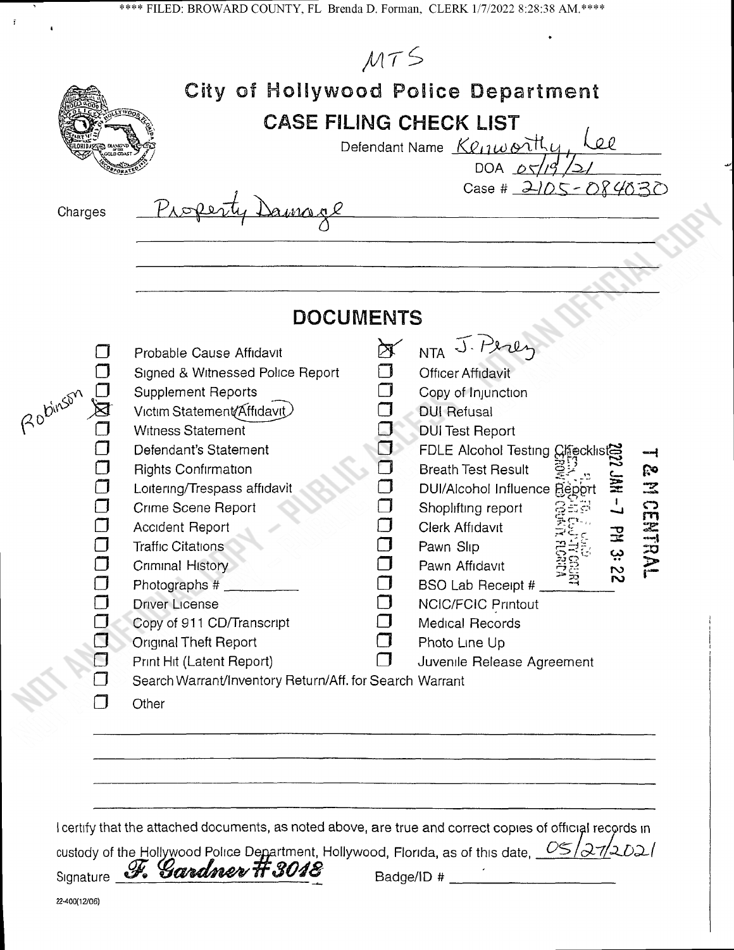| Charges  |                                                                                                                                                                                                                                                                                                                                                                                                                                                                                                                                             |   | <b>CASE FILING CHECK LIST</b><br>Defendant Name Kenworthy<br>DOA $\Delta \sqrt{2}$<br>Case # 2105 - 084030                                                                                                                                                                                                                                                                                                          | Lee          |   |
|----------|---------------------------------------------------------------------------------------------------------------------------------------------------------------------------------------------------------------------------------------------------------------------------------------------------------------------------------------------------------------------------------------------------------------------------------------------------------------------------------------------------------------------------------------------|---|---------------------------------------------------------------------------------------------------------------------------------------------------------------------------------------------------------------------------------------------------------------------------------------------------------------------------------------------------------------------------------------------------------------------|--------------|---|
|          | <b>DOCUMENTS</b>                                                                                                                                                                                                                                                                                                                                                                                                                                                                                                                            |   |                                                                                                                                                                                                                                                                                                                                                                                                                     |              |   |
| 20binson | Probable Cause Affidavit<br>Signed & Witnessed Police Report<br><b>Supplement Reports</b><br>Victim Statement/Affidavit<br><b>Witness Statement</b><br>Defendant's Statement<br><b>Rights Confirmation</b><br>Loitering/Trespass affidavit<br>Crime Scene Report<br><b>Accident Report</b><br><b>Traffic Citations</b><br>Criminal History<br>Photographs #<br><b>Driver License</b><br>Copy of 911 CD/Transcript<br>Original Theft Report<br>Print Hit (Latent Report)<br>Search Warrant/Inventory Return/Aff. for Search Warrant<br>Other | ┑ | NTA J. Peres<br>Officer Affidavit<br>Copy of Injunction<br><b>DUI Refusal</b><br><b>DUI Test Report</b><br><b>FDLE Alcohol Testing Checklis</b><br><b>Breath Test Result</b><br>DUI/Alcohol Influence Repor<br>Shoplifting report<br>Clerk Affidavit<br>Pawn Slip<br>Pawn Affidavit<br>≈<br>BSO Lab Receipt #<br><b>NCIC/FCIC Printout</b><br><b>Medical Records</b><br>Photo Line Up<br>Juvenile Release Agreement | $\mathbf{v}$ | ೯ |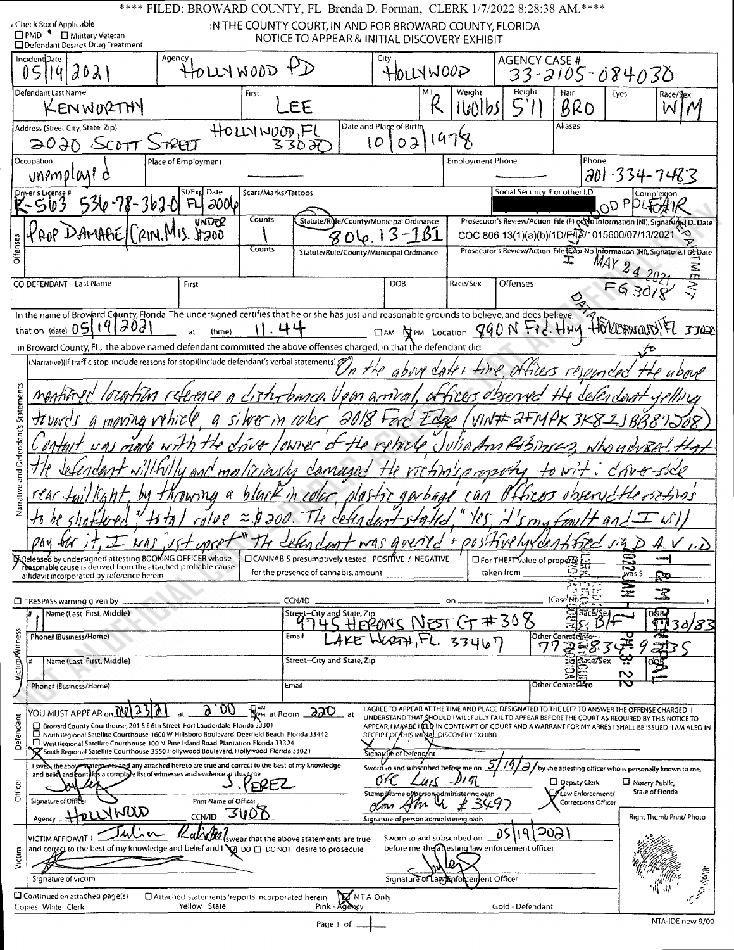|                                                                                                                                                                                                                                                                                                                                                                                                          | **** FILED: BROWARD COUNTY, FL Brenda D. Forman, CLERK 1/7/2022 8:28:38 AM.****                            |                                            |                                           |                                                                                                                                                                                                                                                                                                                                                                                  |                            |                         |                                                                            |                                                           |                                                                          |                                                                                      |
|----------------------------------------------------------------------------------------------------------------------------------------------------------------------------------------------------------------------------------------------------------------------------------------------------------------------------------------------------------------------------------------------------------|------------------------------------------------------------------------------------------------------------|--------------------------------------------|-------------------------------------------|----------------------------------------------------------------------------------------------------------------------------------------------------------------------------------------------------------------------------------------------------------------------------------------------------------------------------------------------------------------------------------|----------------------------|-------------------------|----------------------------------------------------------------------------|-----------------------------------------------------------|--------------------------------------------------------------------------|--------------------------------------------------------------------------------------|
| Check Box if Applicable<br>□PMD <sup>●</sup> □ Military Veteran<br>Defendant Desires Drug Treatment                                                                                                                                                                                                                                                                                                      |                                                                                                            |                                            |                                           | IN THE COUNTY COURT, IN AND FOR BROWARD COUNTY, FLORIDA<br>NOTICE TO APPEAR & INITIAL DISCOVERY EXHIBIT                                                                                                                                                                                                                                                                          |                            |                         |                                                                            |                                                           |                                                                          |                                                                                      |
| IncidentiDate<br>05<br>$d0\lambda$<br>14                                                                                                                                                                                                                                                                                                                                                                 | Agency<br>HOLLYWOOD                                                                                        |                                            |                                           | City                                                                                                                                                                                                                                                                                                                                                                             | HOLLY WOOD                 |                         | <b>AGENCY CASE #</b>                                                       |                                                           | 33-2105-084030                                                           |                                                                                      |
| Defendant Last Name<br>KENWORTHY                                                                                                                                                                                                                                                                                                                                                                         |                                                                                                            | First                                      | EE                                        |                                                                                                                                                                                                                                                                                                                                                                                  |                            | Weight<br>l601bS        | Height                                                                     | Hair<br>BRO                                               | Eyes                                                                     | Race/Sex<br>W                                                                        |
| Address (Street City, State Zip)<br>$2020$ SCOTT                                                                                                                                                                                                                                                                                                                                                         | TYAT                                                                                                       | HOLLSINOOD,FL                              | 330 H                                     | Date and Place of Birth<br>I D<br>o ə                                                                                                                                                                                                                                                                                                                                            | 47                         |                         |                                                                            | Aliases                                                   |                                                                          |                                                                                      |
| Occupation<br>unemplant d                                                                                                                                                                                                                                                                                                                                                                                | Place of Employment                                                                                        |                                            |                                           |                                                                                                                                                                                                                                                                                                                                                                                  |                            | <b>Employment Phone</b> |                                                                            | Phone                                                     | 201-334-7483                                                             |                                                                                      |
| $536 - 78 - 362 - 01$                                                                                                                                                                                                                                                                                                                                                                                    | St/Exp Date<br>2006<br>FU                                                                                  | Scars/Marks/Tattoos                        |                                           |                                                                                                                                                                                                                                                                                                                                                                                  |                            |                         | Social Security # or other I,D                                             |                                                           | OD <sub>P</sub>                                                          |                                                                                      |
| :AMAAE<br>Offenses                                                                                                                                                                                                                                                                                                                                                                                       | <b>UNDER</b><br><b>21N M</b>                                                                               | <b>Counts</b><br>Counts                    |                                           | Statute/Rule/County/Municipal Ordinance                                                                                                                                                                                                                                                                                                                                          |                            |                         | COC 806 13(1)(a)(b)/1D/FAA 1015600/07/13/2021                              |                                                           |                                                                          | Prosecutor's Review/Action File (F) pc to Information (NI), Signafured D., Date      |
|                                                                                                                                                                                                                                                                                                                                                                                                          |                                                                                                            |                                            |                                           | Statute/Rule/County/Municipal Ordinance                                                                                                                                                                                                                                                                                                                                          |                            |                         |                                                                            |                                                           |                                                                          | Prosecutor's Review/Action File (EDor No Information (NI), Signature, I De Date<br>Ξ |
| CO DEFENDANT Last Name                                                                                                                                                                                                                                                                                                                                                                                   | First                                                                                                      |                                            |                                           | <b>DOB</b>                                                                                                                                                                                                                                                                                                                                                                       |                            | Race/Sex                | Offenses                                                                   |                                                           |                                                                          |                                                                                      |
| In the name of Broward County, Florida The undersigned certifies that he or she has just and reasonable grounds to believe, and does believe,<br>J0d<br> 9 <br>that on $_{\text{(date)}}$ 05                                                                                                                                                                                                             | (time)                                                                                                     |                                            |                                           |                                                                                                                                                                                                                                                                                                                                                                                  |                            |                         | DAM OPM LOCAtion 890N +Pd. HHV                                             |                                                           | Horroward!                                                               | 3342                                                                                 |
| in Broward County, FL, the above named defendant committed the above offenses charged, in that the defendant did<br>(Narrative)(If traffic stop include reasons for stop)(Include defendant's verbal statements)                                                                                                                                                                                         |                                                                                                            |                                            |                                           |                                                                                                                                                                                                                                                                                                                                                                                  |                            |                         | time, attiles responded                                                    |                                                           |                                                                          |                                                                                      |
|                                                                                                                                                                                                                                                                                                                                                                                                          | lotertion rulence a cisterbance. Upon arriver,                                                             |                                            |                                           |                                                                                                                                                                                                                                                                                                                                                                                  |                            |                         | atiens observe                                                             |                                                           |                                                                          |                                                                                      |
| moving rincle                                                                                                                                                                                                                                                                                                                                                                                            |                                                                                                            | a siwer in color                           |                                           | 9018 Fer                                                                                                                                                                                                                                                                                                                                                                         |                            |                         | VIN# 2+MPK 3K8                                                             |                                                           |                                                                          |                                                                                      |
| and Defendant's                                                                                                                                                                                                                                                                                                                                                                                          | $\mathcal{N}$                                                                                              | put / NWer d                               | merliriasks canuse                        | the retricle                                                                                                                                                                                                                                                                                                                                                                     |                            |                         | JUDAAM KOSTUSES.<br>TCAMIO mutty to wit.                                   |                                                           | ぐづいせづく                                                                   |                                                                                      |
| Narrative<br>rear to                                                                                                                                                                                                                                                                                                                                                                                     | Ownu a                                                                                                     | ŋ                                          |                                           | ola 5+7                                                                                                                                                                                                                                                                                                                                                                          | garbaal                    | 'Ü A                    |                                                                            |                                                           |                                                                          | Unit-Sins                                                                            |
|                                                                                                                                                                                                                                                                                                                                                                                                          | +1 17                                                                                                      | $rd/PP \approx 0.00$                       | $dHn_c$                                   |                                                                                                                                                                                                                                                                                                                                                                                  |                            | H                       | 'S rn <i>a Fmi</i> ll                                                      |                                                           | $\widehat{G}$ $\widehat{G}$                                              |                                                                                      |
| $\mathcal{I}$ whs<br>06 y<br>VVT<br>Expeleased by undersigned attesting BOOKING OFFICER whose<br>reasonable cause is derived from the attached probable cause                                                                                                                                                                                                                                            | $Jf + \omega$                                                                                              |                                            | for the presence of cannabis, amount      | TH LEAN CLOST WAS GOLDYC<br>□ CANNABIS presumptively tested POSITIVE / NEGATIVE                                                                                                                                                                                                                                                                                                  |                            |                         | + positive hydentified<br>$\Box$ For THEFT value of property<br>taken from | ా                                                         | wās \$                                                                   | $\overline{\nu}$                                                                     |
| affidavit incorporated by reference herein<br>$\Box$ TRESPASS warning given by $\Box$                                                                                                                                                                                                                                                                                                                    |                                                                                                            | CCN/ID                                     |                                           |                                                                                                                                                                                                                                                                                                                                                                                  |                            |                         |                                                                            | (Case No:                                                 |                                                                          | ⊊ર                                                                                   |
| Name (Last First, Middle)<br>Phone# (Business/Home)                                                                                                                                                                                                                                                                                                                                                      |                                                                                                            | Email                                      | Stregt-City and State, Zip                | BRONS NEST CT #308                                                                                                                                                                                                                                                                                                                                                               |                            |                         |                                                                            | Räce/Se.<br>Other Contract Info                           |                                                                          | <b>DOB-</b>                                                                          |
| Victim/Witness<br>Name (Last, First, Middle)                                                                                                                                                                                                                                                                                                                                                             |                                                                                                            |                                            | Street-City and State, Zip                |                                                                                                                                                                                                                                                                                                                                                                                  |                            | 62771, FL. 33467        | 77                                                                         | Race7Sex                                                  |                                                                          |                                                                                      |
| Phone# (Business/Home)                                                                                                                                                                                                                                                                                                                                                                                   |                                                                                                            | Ernail                                     |                                           |                                                                                                                                                                                                                                                                                                                                                                                  |                            |                         |                                                                            | Other Contact Fire                                        | N<br>Z                                                                   |                                                                                      |
| YOU MUST APPEAR on.<br>Defendant<br>Broward County Courthouse, 201 S E 6th Street Fort Lauderdale Florida 33301<br>□ North Regional Satellite Courthouse 1600 W Hillsboro Boulevard Deerfield Beach Florida 33442<br>$\Box$ West Regional Satellite Courthouse 100 N Pine Island Road Plantation Florida 33324<br>South Regional Satellite Courthouse 3550 Hollywood Boulevard, Holly vood Florida 33021 | <b>DO</b>                                                                                                  | $\mathbb{Z}_{\ell^m}$ at Room $\sqrt{220}$ | _ at                                      | I AGREE TO APPEAR AT THE TIME AND PLACE DESIGNATED TO THE LEFT TO ANSWER THE OFFENSE CHARGED I<br>UNDERSTAND THAT SHOULD I WILLFULLY FAIL TO APPEAR BEFORE THE COURT AS REQUIRED BY THIS NOTICE TO<br>APPEAR, I MAY BE HELD IN CONTEMPT OF COURT AND A WARRANT FOR MY ARREST SHALL BE ISSUED I AM ALSO IN<br>RECEIPT OF FHIS INITIAL DISCOVERY EXHIBIT<br>Signature of Defendant |                            |                         |                                                                            |                                                           |                                                                          |                                                                                      |
| I swest the abo<br>and belies and contains a complete list of witnesses and evidence at this time<br>Officer<br>Signature of Office                                                                                                                                                                                                                                                                      | atements and any attached hereto are true and correct to the best of my knowledge<br>Print Name of Officer |                                            |                                           | Sworn to and subscribed before me on<br>Stamp/Aame of person administering oatn<br>CX 440                                                                                                                                                                                                                                                                                        | クル                         |                         |                                                                            | □ Deputy Clerk<br>Maw Enforcement/<br>Corrections Officer | by the attesting officer who is personally known to me,<br>Notary Public | State of Florida                                                                     |
| awyhija<br>Agency<br><b>VICTIM AFFIDAVIT</b>                                                                                                                                                                                                                                                                                                                                                             | CCNAD 3U07                                                                                                 |                                            |                                           | Signature of person administering oath                                                                                                                                                                                                                                                                                                                                           | Sworn to and subscribed on |                         | <b>20S</b><br>Ð                                                            |                                                           |                                                                          | Right Thumb Print/ Photo                                                             |
| and correct to the best of my knowledge and belief and $\log$ po $\Box$ po NOT desire to prosecute<br>Victim                                                                                                                                                                                                                                                                                             |                                                                                                            |                                            | Iswear that the above statements are true |                                                                                                                                                                                                                                                                                                                                                                                  |                            |                         | before me the altesting law enforcement officer                            |                                                           |                                                                          |                                                                                      |
| Signature of victim<br>Continued on attached page(s)<br>Copies White Clerk                                                                                                                                                                                                                                                                                                                               | E Attached statements reports incorporated herein<br>Yellow State                                          |                                            | Pink - Agency                             | Signature<br>MINTA Only                                                                                                                                                                                                                                                                                                                                                          |                            | aw Anfolcentent Officer | Gold - Defendant                                                           |                                                           |                                                                          |                                                                                      |
|                                                                                                                                                                                                                                                                                                                                                                                                          |                                                                                                            |                                            | Page 1 of                                 |                                                                                                                                                                                                                                                                                                                                                                                  |                            |                         |                                                                            |                                                           |                                                                          | NTA-IDE new 9/09                                                                     |